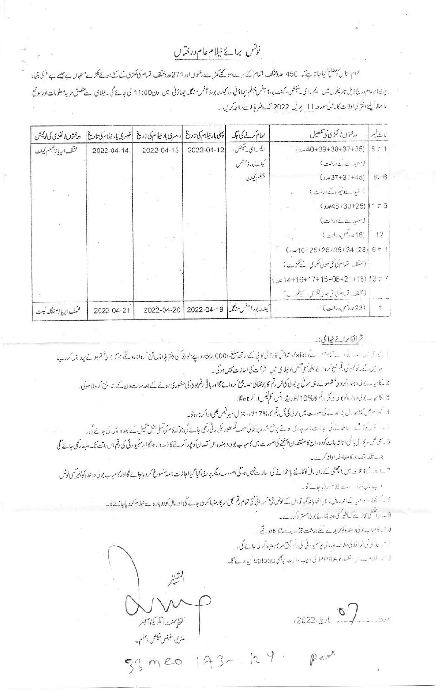## نوٹس برائے نیلام عام درختاں

عوام الناس کو مطلع کیاجا تا ہے کہ 450 عدد مختلف اقسام کے ہرے، سونکے کھڑے درختوں اور 271عدد حقاس کے لگنے کی سال سے اس سے پہلے ہے "کی بنیاد پرنیلاسھام درج ذیل تاریخوں میں ایم۔ای-تیشن، کینٹ بورڈ آفس جہلم چھاؤنی اور کینٹ بورڈ آفس منگلہ چھاؤنی میں دن11:00 کی جائے گی۔ نیلای سے متعلق مزید معلومات اورموتع ما حظه كيليَّة دفتر كي اوقات كار مين مورحه 11 ايريل 2022 تك دفتر مذات رابط كريس:

| درځتوں الکڑی کیا لوکیشن   |            | پہلی بار نیلام کی تاریخ  دوسری بار نیلام کی تاریخ  تیسری بار نیلام کی تاریخ |            | نیلام کرنے کی جگہ                | درختوں الکڑی کی تفصیل                           | لابيدنيس      |
|---------------------------|------------|-----------------------------------------------------------------------------|------------|----------------------------------|-------------------------------------------------|---------------|
| مختلف ابرياز جبلم كينث    | 2022-04-14 | 2022-04-13                                                                  | 2022-04-12 | ایم۔ای سیکشن،                    | $(1.40+39+38+37+35)$                            | 5t1           |
|                           |            |                                                                             |            | كينٹ بورڈ آٹس                    | (سفیدے کے درخت)                                 |               |
|                           |            |                                                                             |            | جبلم كينث                        | $(1,437+37+45)$                                 | 8t 6          |
|                           |            |                                                                             |            |                                  | (منیدے <b>دنیرہ کے</b> درخت )                   |               |
|                           |            |                                                                             |            |                                  | $(1.48+30+25)$ 11 t 9                           |               |
|                           |            |                                                                             |            |                                  | (سنیدے کے درخت)                                 |               |
|                           |            |                                                                             |            |                                  | (16 مدرگس درخت) .                               | 12            |
|                           |            |                                                                             |            |                                  | $($ , $\sqrt{16+25+26+35+34+28}$ 6 $\sqrt{5}$ 1 |               |
|                           |            |                                                                             |            |                                  | ( مختف نشام کی کلی ہوئی گنزی سے کلڑے)           |               |
|                           |            |                                                                             |            |                                  |                                                 |               |
|                           |            |                                                                             |            |                                  | ( تلف قیام کی کارڈ لکڑی سے کلوے )               |               |
| مخلف ابربا زمنىگاپە كىنىت | 2022-04-21 | 2022-04-20                                                                  |            | كينت بورڈ آئس منگلہ   49-04-2022 | $\cdot$ (23 مردس) ک                             | $\mathcal{L}$ |

<u> شرائلا برا به عیلای: په</u>

السجا في نساسب بنے، لے تمام حصرات كو Valid شاختى كارڈ كى كالي كے ساتھ مبلغ -50,000 روپے بطورتوكن دفتر مذابع رقيق جوكہ يو لى ختم ہونے پرداپس كرديجے جا یں گے۔نوکن کی قم جمع تروائے بغیر کی گھنس کو نیلا کی میں شرکت کی اجازت نہیں ہوگی۔ 2 کامیاب بولی دہندہ کو بولی شتم ہوتے ہی موقع پر بولی کی کل رقم کا چوتھائی حصہ جمع کروائے گااور ہاقی رقم ایک منظوری ہونے کے بعد سات دن کے اندرجمع کروانا ہوگی۔ 3 . كامياب بو بې دېنده كو بو لى ئىڭل رقم كا%10 بطورايلە دانس أقم قيكس ادا كرتا ہوگا۔ 4 کی ام میں کثابہوا پال پڑا ہو ئے کی صورت میں بولی کی کل قم کا 17% بطور جنر ل سلیوقیکس بھی ادا کرنا ہوگا۔ 3 ، در قال دہ میں اس نے کہ جازت نامہ جاری ہونے پرہتی شدہ پوتھائی حصہ قم بطور میکیورٹی رکھی جانے گی جو کچھ کیا جائے گی۔ 6 کسی بھی سرکاریا گچی ا تا شرمبات کودوران کام نقصان پینچنے کی صورت میں کامیاب بولی دہمتری کی زمیدارہوگا اورسکیو رٹی کی رقم اس دقت تک طبط رکھی جائے گی جب تلکہ نقصان کا معاوضہ ادا نہ کرے۔ 7 ۔رات کے اوقات میں باتھنی کے دن مال کوکاٹنے بااٹھانے کی اجازت پہیں ہوگی بصورت دیگر جاری کیا اور تاسیدنے کر دیاجائے گااورکامیاب بولی د ہند ہ کو بغیر کسی نوٹس د پ ،ل کرد<sub>ار</sub> ،وے نیلام کردنیاجائے گا۔ 8۔ اگر بجوز وروائیہ کے اندرمال کا نایا نصایانہ کیا تومال کے عوض جمع کروائی گئی تمام تھم بچس کے میں اس کو اور اس کو دیا جانے گا۔ 9 بازیر پخطی کارے کہ بغیر کی دجہ بتائے بولی مستر دکردے۔ 10 - كامياب بولى د ہندەكونريدے گھ درخت جزول ت نگالناہو گے۔ 11- يلاي كَ شرائط كى خلاف ورزى پرسكيورتى كى رتم مجق مركار عنبط كر لى جائے گى۔ 12. ينام ب الاستباركو PPRA كى دەپ مائىك پەنچى upload كياجاتے گا۔  $2022$  is  $\sqrt{8}$ ر<br>كنتونمنسك الگزيكثوآفيسر ملٹری اسٹیٹس سیکشن، جہلم ۔ 33 meo 173-129. Red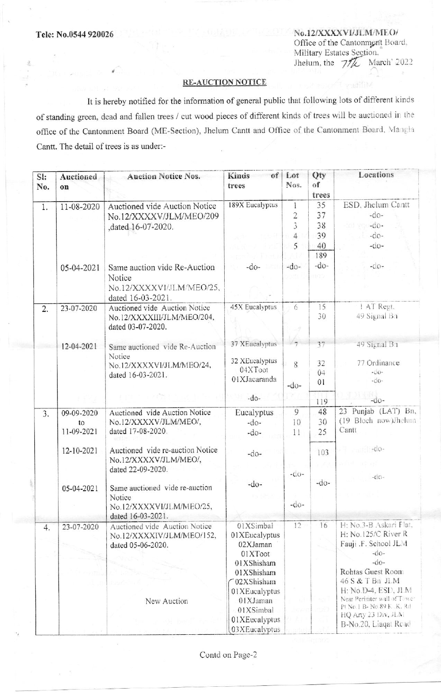No.12/XXXXVI/JLM/MEO/ Office of the Cantonment Board, Military Estates Section, Jhelum, the  $7\frac{1}{\sqrt{k}}$  March' 2022

## **RE-AUCTION NOTICE**

It is hereby notified for the information of general public that following lots of different kinds of standing green, dead and fallen trees / cut wood pieces of different kinds of trees will be auctioned in the office of the Cantonment Board (ME-Section), Jhelum Cantt and Office of the Cantonment Board, Mangla Cantt. The detail of trees is as under:-

| SI:<br>No. | <b>Auctioned</b><br>on         | <b>Auction Notice Nos.</b>                                                                | of <sub>1</sub><br>Kinds<br>trees                                                           | Lot<br>Nos.                                           | Qty<br>of<br>trees   | Locations                                                                                                                          |
|------------|--------------------------------|-------------------------------------------------------------------------------------------|---------------------------------------------------------------------------------------------|-------------------------------------------------------|----------------------|------------------------------------------------------------------------------------------------------------------------------------|
| 1.         | 11-08-2020                     | Auctioned vide Auction Notice<br>No.12/XXXXV/JLM/MEO/209<br>,dated 16-07-2020.            | 189X Eucalyptus                                                                             | $\mathbf{1}$<br>$\overline{2}$<br>3<br>$\overline{4}$ | 35<br>37<br>38<br>39 | ESD, Jhelum Cantt<br>$-do-$<br>$-do-$<br>$-do-$                                                                                    |
|            |                                |                                                                                           |                                                                                             | 5                                                     | 40<br>189            | $-do-$                                                                                                                             |
|            | 05-04-2021                     | Same auction vide Re-Auction<br>Notice<br>No.12/XXXXVI/JLM/MEO/25,<br>dated 16-03-2021.   | $-do-$                                                                                      | $-do-$                                                | $-do-$<br>COU        | $-d$ o-                                                                                                                            |
| 2.         | 23-07-2020                     | Auctioned vide Auction Notice<br>No.12/XXXXIII/JLM/MEO/204,<br>dated 03-07-2020.          | 45X Eucalyptus                                                                              | 6                                                     | 15<br>30             | 1 AT Regt.<br>49 Signal Bn                                                                                                         |
|            | 12-04-2021                     | Same auctioned vide Re-Auction<br>Notice<br>No.12/XXXXVI/JLM/MEO/24,<br>dated 16-03-2021. | 37 XEucalyptus<br>32 XEucalyptus<br>04XToot<br>01XJacaranda                                 | 7<br>8<br>$-do-$                                      | 37<br>32<br>04<br>01 | 49 Signal Bn<br>77 Ordinance<br>$-0.0 -$<br>$-d0$ -                                                                                |
|            |                                |                                                                                           | $-do-$                                                                                      |                                                       | 119                  | $-0.0-$                                                                                                                            |
| 3.         | 09-09-2020<br>to<br>11-09-2021 | Auctioned vide Auction Notice<br>No.12/XXXXV/JLM/MEO/,<br>dated 17-08-2020.               | Eucalyptus<br>$-do-$<br>$-do-$                                                              | 9<br>10<br>11                                         | 48<br>30<br>25       | 23 Punjab (LAT) Bn,<br>(19 Bloch now)Jhelum<br>Cantt                                                                               |
|            | 12-10-2021                     | Auctioned vide re-auction Notice<br>No.12/XXXXV/JLM/MEO/,<br>dated 22-09-2020.            | $-do-$                                                                                      | $-do-$                                                | 103                  | $-0$<br>$-dO-$                                                                                                                     |
|            | 05-04-2021                     | Same auctioned vide re-auction<br>Notice<br>No.12/XXXXVI/JLM/MEO/25,<br>dated 16-03-2021. | $-do-$                                                                                      | $-do-$                                                | $-do-$               |                                                                                                                                    |
| 4.         | 23-07-2020                     | Auctioned vide Auction Notice<br>No.12/XXXXIV/JLM/MEO/152,<br>dated 05-06-2020.           | 01XSimbal<br>01XEucalyptus<br>02XJaman<br>01XToot<br>01XShisham<br>01XShisham<br>02XShisham | 12                                                    | 16                   | H: No.3-B Askari Flat.<br>H: No.125/C River R<br>Fauji .F. School JLM<br>$-do-$<br>$-do-$<br>Rohtas Guest Room<br>46 S & T Bn JLM  |
|            |                                | New Auction                                                                               | 01XEucalyptus<br>01XJaman<br>01XSimbal<br>01XEucalyptus<br>03XEucalyptus                    |                                                       |                      | H: No.D-4, ESD, JLM<br>Near Perimter wall of Tower<br>Pt No. 1 B- No. 89 K., K. Rd.<br>HQ Arty 23 Div, JLM<br>B-No.20, Liaqat Read |

Contd on Page-2